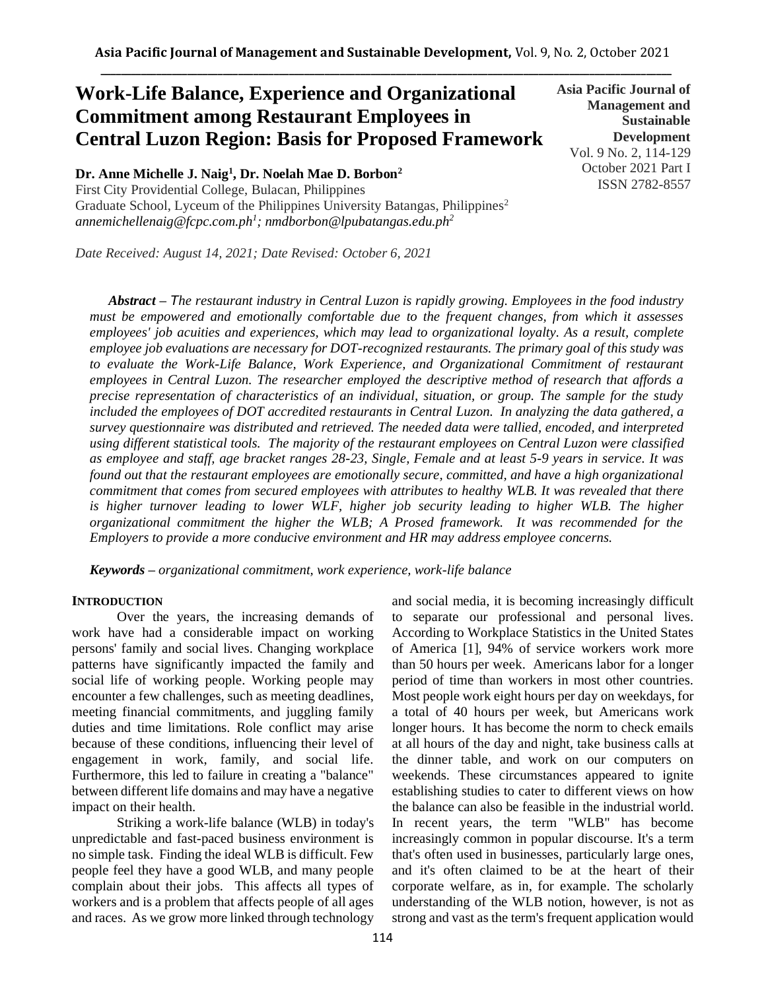# **Work-Life Balance, Experience and Organizational Commitment among Restaurant Employees in Central Luzon Region: Basis for Proposed Framework**

**Dr. Anne Michelle J. Naig<sup>1</sup> , Dr. Noelah Mae D. Borbon<sup>2</sup>**

First City Providential College, Bulacan, Philippines Graduate School, Lyceum of the Philippines University Batangas, Philippines<sup>2</sup> *annemichellenaig@fcpc.com.ph<sup>1</sup> ; nmdborbon@lpubatangas.edu.ph<sup>2</sup>*

*Date Received: August 14, 2021; Date Revised: October 6, 2021*

**Asia Pacific Journal of Management and Sustainable Development**  Vol. 9 No. 2, 114-129 October 2021 Part I ISSN 2782-8557

*Abstract – The restaurant industry in Central Luzon is rapidly growing. Employees in the food industry must be empowered and emotionally comfortable due to the frequent changes, from which it assesses employees' job acuities and experiences, which may lead to organizational loyalty. As a result, complete employee job evaluations are necessary for DOT-recognized restaurants. The primary goal of this study was*  to evaluate the Work-Life Balance, Work Experience, and Organizational Commitment of restaurant *employees in Central Luzon. The researcher employed the descriptive method of research that affords a precise representation of characteristics of an individual, situation, or group. The sample for the study included the employees of DOT accredited restaurants in Central Luzon. In analyzing the data gathered, a survey questionnaire was distributed and retrieved. The needed data were tallied, encoded, and interpreted using different statistical tools. The majority of the restaurant employees on Central Luzon were classified as employee and staff, age bracket ranges 28-23, Single, Female and at least 5-9 years in service. It was found out that the restaurant employees are emotionally secure, committed, and have a high organizational commitment that comes from secured employees with attributes to healthy WLB. It was revealed that there*  is higher turnover leading to lower WLF, higher job security leading to higher WLB. The higher *organizational commitment the higher the WLB; A Prosed framework. It was recommended for the Employers to provide a more conducive environment and HR may address employee concerns.*

*Keywords – organizational commitment, work experience, work-life balance*

## **INTRODUCTION**

Over the years, the increasing demands of work have had a considerable impact on working persons' family and social lives. Changing workplace patterns have significantly impacted the family and social life of working people. Working people may encounter a few challenges, such as meeting deadlines, meeting financial commitments, and juggling family duties and time limitations. Role conflict may arise because of these conditions, influencing their level of engagement in work, family, and social life. Furthermore, this led to failure in creating a "balance" between different life domains and may have a negative impact on their health.

Striking a work-life balance (WLB) in today's unpredictable and fast-paced business environment is no simple task. Finding the ideal WLB is difficult. Few people feel they have a good WLB, and many people complain about their jobs. This affects all types of workers and is a problem that affects people of all ages and races. As we grow more linked through technology and social media, it is becoming increasingly difficult to separate our professional and personal lives. According to Workplace Statistics in the United States of America [1], 94% of service workers work more than 50 hours per week. Americans labor for a longer period of time than workers in most other countries. Most people work eight hours per day on weekdays, for a total of 40 hours per week, but Americans work longer hours. It has become the norm to check emails at all hours of the day and night, take business calls at the dinner table, and work on our computers on weekends. These circumstances appeared to ignite establishing studies to cater to different views on how the balance can also be feasible in the industrial world. In recent years, the term "WLB" has become increasingly common in popular discourse. It's a term that's often used in businesses, particularly large ones, and it's often claimed to be at the heart of their corporate welfare, as in, for example. The scholarly understanding of the WLB notion, however, is not as strong and vast as the term's frequent application would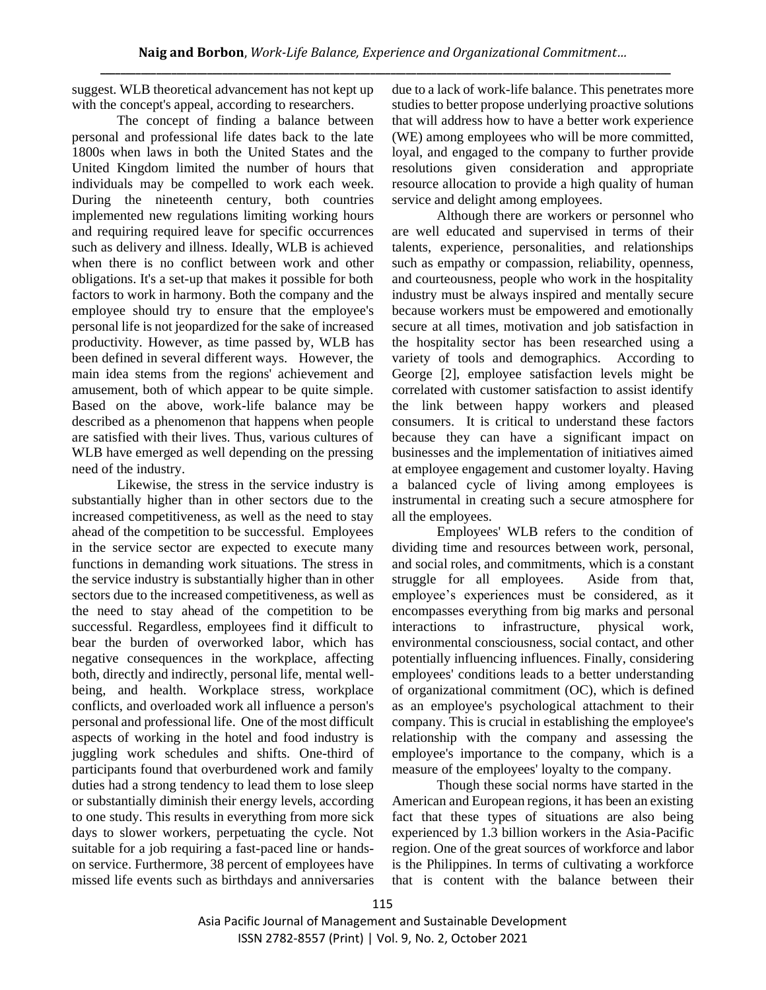suggest. WLB theoretical advancement has not kept up with the concept's appeal, according to researchers.

The concept of finding a balance between personal and professional life dates back to the late 1800s when laws in both the United States and the United Kingdom limited the number of hours that individuals may be compelled to work each week. During the nineteenth century, both countries implemented new regulations limiting working hours and requiring required leave for specific occurrences such as delivery and illness. Ideally, WLB is achieved when there is no conflict between work and other obligations. It's a set-up that makes it possible for both factors to work in harmony. Both the company and the employee should try to ensure that the employee's personal life is not jeopardized for the sake of increased productivity. However, as time passed by, WLB has been defined in several different ways. However, the main idea stems from the regions' achievement and amusement, both of which appear to be quite simple. Based on the above, work-life balance may be described as a phenomenon that happens when people are satisfied with their lives. Thus, various cultures of WLB have emerged as well depending on the pressing need of the industry.

Likewise, the stress in the service industry is substantially higher than in other sectors due to the increased competitiveness, as well as the need to stay ahead of the competition to be successful. Employees in the service sector are expected to execute many functions in demanding work situations. The stress in the service industry is substantially higher than in other sectors due to the increased competitiveness, as well as the need to stay ahead of the competition to be successful. Regardless, employees find it difficult to bear the burden of overworked labor, which has negative consequences in the workplace, affecting both, directly and indirectly, personal life, mental wellbeing, and health. Workplace stress, workplace conflicts, and overloaded work all influence a person's personal and professional life. One of the most difficult aspects of working in the hotel and food industry is juggling work schedules and shifts. One-third of participants found that overburdened work and family duties had a strong tendency to lead them to lose sleep or substantially diminish their energy levels, according to one study. This results in everything from more sick days to slower workers, perpetuating the cycle. Not suitable for a job requiring a fast-paced line or handson service. Furthermore, 38 percent of employees have missed life events such as birthdays and anniversaries due to a lack of work-life balance. This penetrates more studies to better propose underlying proactive solutions that will address how to have a better work experience (WE) among employees who will be more committed, loyal, and engaged to the company to further provide resolutions given consideration and appropriate resource allocation to provide a high quality of human service and delight among employees.

Although there are workers or personnel who are well educated and supervised in terms of their talents, experience, personalities, and relationships such as empathy or compassion, reliability, openness, and courteousness, people who work in the hospitality industry must be always inspired and mentally secure because workers must be empowered and emotionally secure at all times, motivation and job satisfaction in the hospitality sector has been researched using a variety of tools and demographics. According to George [2], employee satisfaction levels might be correlated with customer satisfaction to assist identify the link between happy workers and pleased consumers. It is critical to understand these factors because they can have a significant impact on businesses and the implementation of initiatives aimed at employee engagement and customer loyalty. Having a balanced cycle of living among employees is instrumental in creating such a secure atmosphere for all the employees.

Employees' WLB refers to the condition of dividing time and resources between work, personal, and social roles, and commitments, which is a constant struggle for all employees. Aside from that, employee's experiences must be considered, as it encompasses everything from big marks and personal interactions to infrastructure, physical work, environmental consciousness, social contact, and other potentially influencing influences. Finally, considering employees' conditions leads to a better understanding of organizational commitment (OC), which is defined as an employee's psychological attachment to their company. This is crucial in establishing the employee's relationship with the company and assessing the employee's importance to the company, which is a measure of the employees' loyalty to the company.

Though these social norms have started in the American and European regions, it has been an existing fact that these types of situations are also being experienced by 1.3 billion workers in the Asia-Pacific region. One of the great sources of workforce and labor is the Philippines. In terms of cultivating a workforce that is content with the balance between their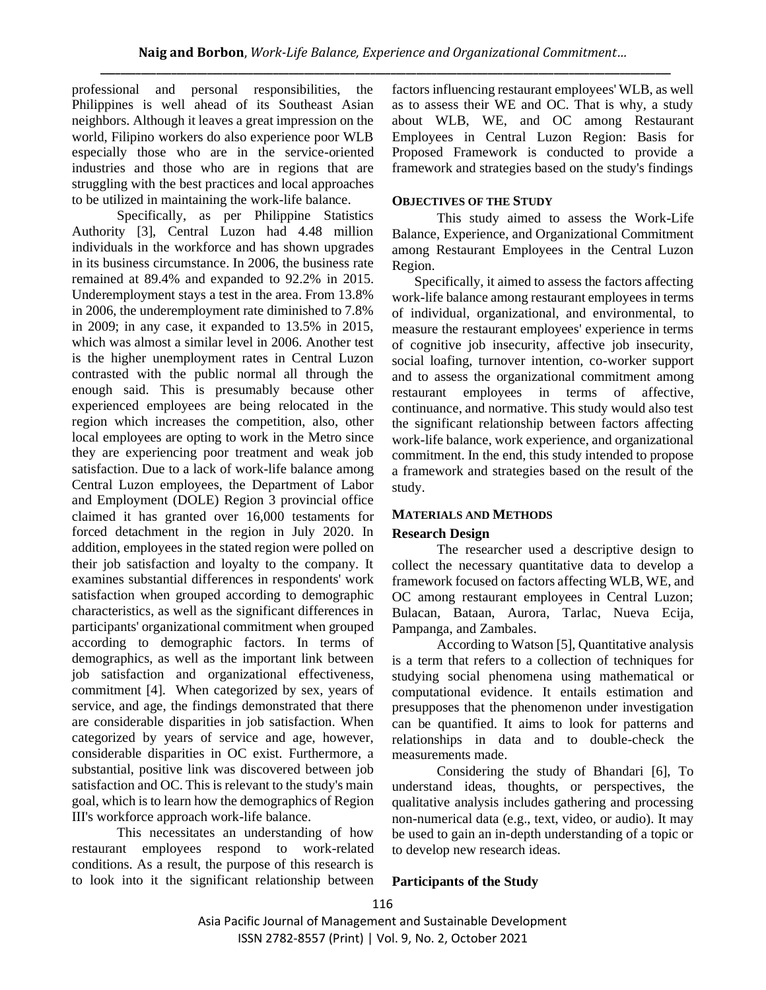professional and personal responsibilities, the Philippines is well ahead of its Southeast Asian neighbors. Although it leaves a great impression on the world, Filipino workers do also experience poor WLB especially those who are in the service-oriented industries and those who are in regions that are struggling with the best practices and local approaches to be utilized in maintaining the work-life balance.

Specifically, as per Philippine Statistics Authority [3], Central Luzon had 4.48 million individuals in the workforce and has shown upgrades in its business circumstance. In 2006, the business rate remained at 89.4% and expanded to 92.2% in 2015. Underemployment stays a test in the area. From 13.8% in 2006, the underemployment rate diminished to 7.8% in 2009; in any case, it expanded to 13.5% in 2015, which was almost a similar level in 2006. Another test is the higher unemployment rates in Central Luzon contrasted with the public normal all through the enough said. This is presumably because other experienced employees are being relocated in the region which increases the competition, also, other local employees are opting to work in the Metro since they are experiencing poor treatment and weak job satisfaction. Due to a lack of work-life balance among Central Luzon employees, the Department of Labor and Employment (DOLE) Region 3 provincial office claimed it has granted over 16,000 testaments for forced detachment in the region in July 2020. In addition, employees in the stated region were polled on their job satisfaction and loyalty to the company. It examines substantial differences in respondents' work satisfaction when grouped according to demographic characteristics, as well as the significant differences in participants' organizational commitment when grouped according to demographic factors. In terms of demographics, as well as the important link between job satisfaction and organizational effectiveness, commitment [4]. When categorized by sex, years of service, and age, the findings demonstrated that there are considerable disparities in job satisfaction. When categorized by years of service and age, however, considerable disparities in OC exist. Furthermore, a substantial, positive link was discovered between job satisfaction and OC. This is relevant to the study's main goal, which is to learn how the demographics of Region III's workforce approach work-life balance.

This necessitates an understanding of how restaurant employees respond to work-related conditions. As a result, the purpose of this research is to look into it the significant relationship between factors influencing restaurant employees' WLB, as well as to assess their WE and OC. That is why, a study about WLB, WE, and OC among Restaurant Employees in Central Luzon Region: Basis for Proposed Framework is conducted to provide a framework and strategies based on the study's findings

## **OBJECTIVES OF THE STUDY**

This study aimed to assess the Work-Life Balance, Experience, and Organizational Commitment among Restaurant Employees in the Central Luzon Region.

Specifically, it aimed to assess the factors affecting work-life balance among restaurant employees in terms of individual, organizational, and environmental, to measure the restaurant employees' experience in terms of cognitive job insecurity, affective job insecurity, social loafing, turnover intention, co-worker support and to assess the organizational commitment among restaurant employees in terms of affective, continuance, and normative. This study would also test the significant relationship between factors affecting work-life balance, work experience, and organizational commitment. In the end, this study intended to propose a framework and strategies based on the result of the study.

## **MATERIALS AND METHODS**

## **Research Design**

The researcher used a descriptive design to collect the necessary quantitative data to develop a framework focused on factors affecting WLB, WE, and OC among restaurant employees in Central Luzon; Bulacan, Bataan, Aurora, Tarlac, Nueva Ecija, Pampanga, and Zambales.

According to Watson [5], Quantitative analysis is a term that refers to a collection of techniques for studying social phenomena using mathematical or computational evidence. It entails estimation and presupposes that the phenomenon under investigation can be quantified. It aims to look for patterns and relationships in data and to double-check the measurements made.

Considering the study of Bhandari [6], To understand ideas, thoughts, or perspectives, the qualitative analysis includes gathering and processing non-numerical data (e.g., text, video, or audio). It may be used to gain an in-depth understanding of a topic or to develop new research ideas.

## **Participants of the Study**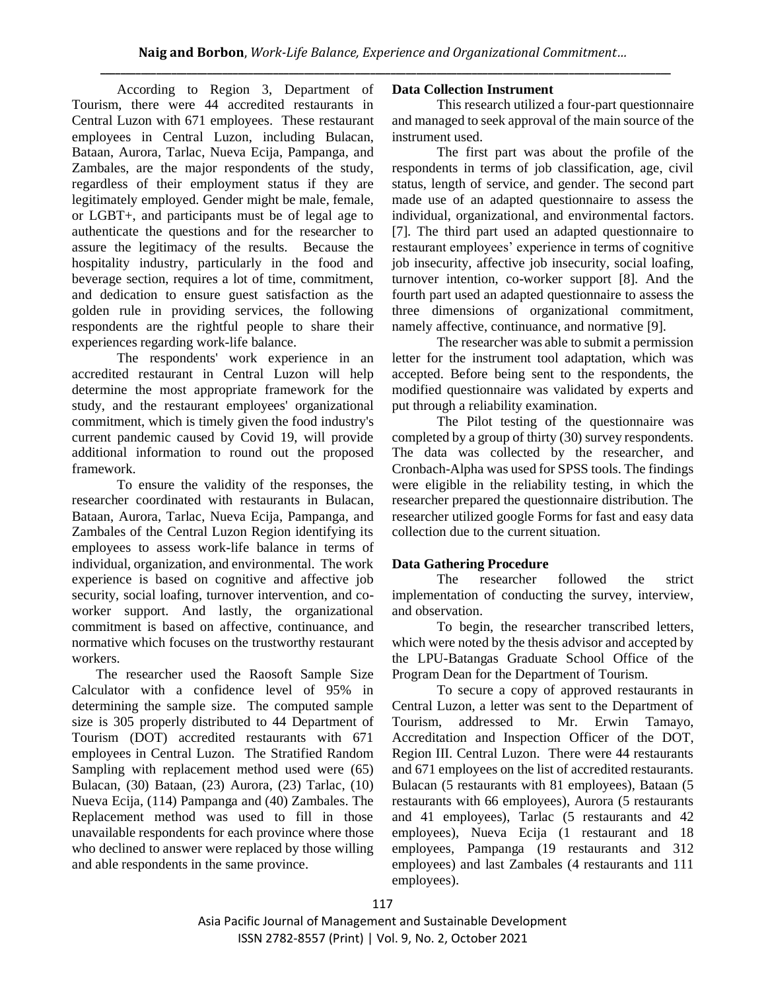According to Region 3, Department of Tourism, there were 44 accredited restaurants in Central Luzon with 671 employees. These restaurant employees in Central Luzon, including Bulacan, Bataan, Aurora, Tarlac, Nueva Ecija, Pampanga, and Zambales, are the major respondents of the study, regardless of their employment status if they are legitimately employed. Gender might be male, female, or LGBT+, and participants must be of legal age to authenticate the questions and for the researcher to assure the legitimacy of the results. Because the hospitality industry, particularly in the food and beverage section, requires a lot of time, commitment, and dedication to ensure guest satisfaction as the golden rule in providing services, the following respondents are the rightful people to share their experiences regarding work-life balance.

The respondents' work experience in an accredited restaurant in Central Luzon will help determine the most appropriate framework for the study, and the restaurant employees' organizational commitment, which is timely given the food industry's current pandemic caused by Covid 19, will provide additional information to round out the proposed framework.

To ensure the validity of the responses, the researcher coordinated with restaurants in Bulacan, Bataan, Aurora, Tarlac, Nueva Ecija, Pampanga, and Zambales of the Central Luzon Region identifying its employees to assess work-life balance in terms of individual, organization, and environmental. The work experience is based on cognitive and affective job security, social loafing, turnover intervention, and coworker support. And lastly, the organizational commitment is based on affective, continuance, and normative which focuses on the trustworthy restaurant workers.

 The researcher used the Raosoft Sample Size Calculator with a confidence level of 95% in determining the sample size. The computed sample size is 305 properly distributed to 44 Department of Tourism (DOT) accredited restaurants with 671 employees in Central Luzon. The Stratified Random Sampling with replacement method used were (65) Bulacan, (30) Bataan, (23) Aurora, (23) Tarlac, (10) Nueva Ecija, (114) Pampanga and (40) Zambales. The Replacement method was used to fill in those unavailable respondents for each province where those who declined to answer were replaced by those willing and able respondents in the same province.

# **Data Collection Instrument**

This research utilized a four-part questionnaire and managed to seek approval of the main source of the instrument used.

The first part was about the profile of the respondents in terms of job classification, age, civil status, length of service, and gender. The second part made use of an adapted questionnaire to assess the individual, organizational, and environmental factors. [7]. The third part used an adapted questionnaire to restaurant employees' experience in terms of cognitive job insecurity, affective job insecurity, social loafing, turnover intention, co-worker support [8]. And the fourth part used an adapted questionnaire to assess the three dimensions of organizational commitment, namely affective, continuance, and normative [9].

The researcher was able to submit a permission letter for the instrument tool adaptation, which was accepted. Before being sent to the respondents, the modified questionnaire was validated by experts and put through a reliability examination.

The Pilot testing of the questionnaire was completed by a group of thirty (30) survey respondents. The data was collected by the researcher, and Cronbach-Alpha was used for SPSS tools. The findings were eligible in the reliability testing, in which the researcher prepared the questionnaire distribution. The researcher utilized google Forms for fast and easy data collection due to the current situation.

# **Data Gathering Procedure**

The researcher followed the strict implementation of conducting the survey, interview, and observation.

To begin, the researcher transcribed letters, which were noted by the thesis advisor and accepted by the LPU-Batangas Graduate School Office of the Program Dean for the Department of Tourism.

To secure a copy of approved restaurants in Central Luzon, a letter was sent to the Department of Tourism, addressed to Mr. Erwin Tamayo, Accreditation and Inspection Officer of the DOT, Region III. Central Luzon. There were 44 restaurants and 671 employees on the list of accredited restaurants. Bulacan (5 restaurants with 81 employees), Bataan (5 restaurants with 66 employees), Aurora (5 restaurants and 41 employees), Tarlac (5 restaurants and 42 employees), Nueva Ecija (1 restaurant and 18 employees, Pampanga (19 restaurants and 312 employees) and last Zambales (4 restaurants and 111 employees).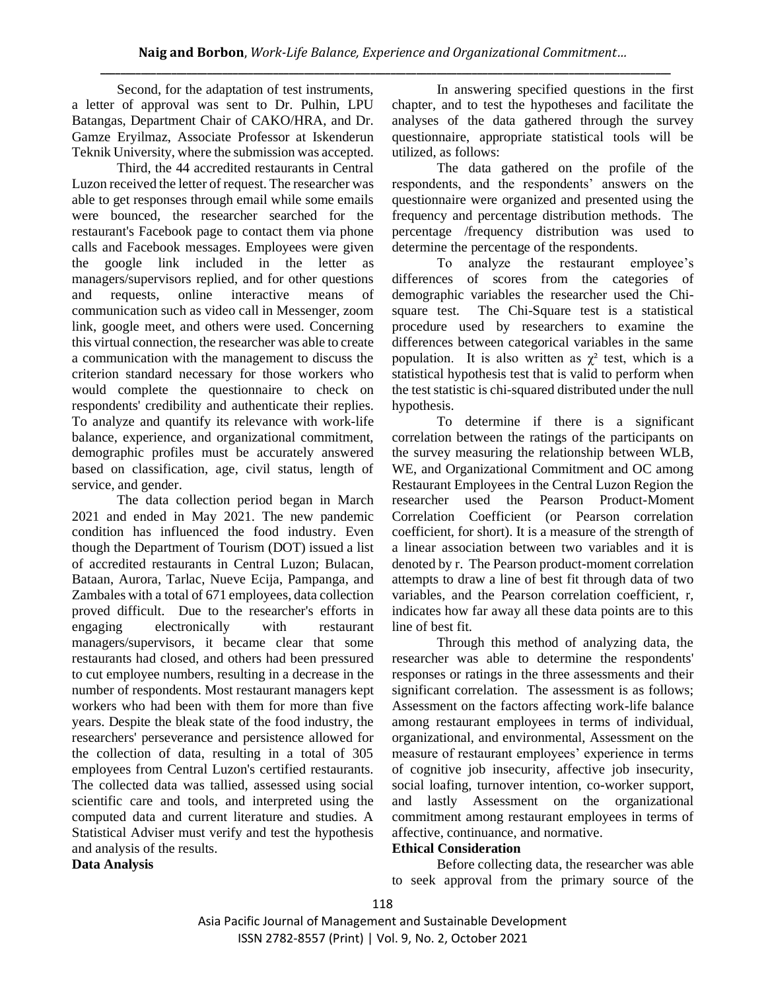Second, for the adaptation of test instruments, a letter of approval was sent to Dr. Pulhin, LPU Batangas, Department Chair of CAKO/HRA, and Dr. Gamze Eryilmaz, Associate Professor at Iskenderun Teknik University, where the submission was accepted.

Third, the 44 accredited restaurants in Central Luzon received the letter of request. The researcher was able to get responses through email while some emails were bounced, the researcher searched for the restaurant's Facebook page to contact them via phone calls and Facebook messages. Employees were given the google link included in the letter as managers/supervisors replied, and for other questions and requests, online interactive means of communication such as video call in Messenger, zoom link, google meet, and others were used. Concerning this virtual connection, the researcher was able to create a communication with the management to discuss the criterion standard necessary for those workers who would complete the questionnaire to check on respondents' credibility and authenticate their replies. To analyze and quantify its relevance with work-life balance, experience, and organizational commitment, demographic profiles must be accurately answered based on classification, age, civil status, length of service, and gender.

The data collection period began in March 2021 and ended in May 2021. The new pandemic condition has influenced the food industry. Even though the Department of Tourism (DOT) issued a list of accredited restaurants in Central Luzon; Bulacan, Bataan, Aurora, Tarlac, Nueve Ecija, Pampanga, and Zambales with a total of 671 employees, data collection proved difficult. Due to the researcher's efforts in engaging electronically with restaurant managers/supervisors, it became clear that some restaurants had closed, and others had been pressured to cut employee numbers, resulting in a decrease in the number of respondents. Most restaurant managers kept workers who had been with them for more than five years. Despite the bleak state of the food industry, the researchers' perseverance and persistence allowed for the collection of data, resulting in a total of 305 employees from Central Luzon's certified restaurants. The collected data was tallied, assessed using social scientific care and tools, and interpreted using the computed data and current literature and studies. A Statistical Adviser must verify and test the hypothesis and analysis of the results.

In answering specified questions in the first chapter, and to test the hypotheses and facilitate the analyses of the data gathered through the survey questionnaire, appropriate statistical tools will be utilized, as follows:

The data gathered on the profile of the respondents, and the respondents' answers on the questionnaire were organized and presented using the frequency and percentage distribution methods. The percentage /frequency distribution was used to determine the percentage of the respondents.

To analyze the restaurant employee's differences of scores from the categories of demographic variables the researcher used the Chisquare test. The Chi-Square test is a statistical procedure used by researchers to examine the differences between categorical variables in the same population. It is also written as  $\gamma^2$  test, which is a statistical hypothesis test that is valid to perform when the test statistic is chi-squared distributed under the null hypothesis.

To determine if there is a significant correlation between the ratings of the participants on the survey measuring the relationship between WLB, WE, and Organizational Commitment and OC among Restaurant Employees in the Central Luzon Region the researcher used the Pearson Product-Moment Correlation Coefficient (or Pearson correlation coefficient, for short). It is a measure of the strength of a linear association between two variables and it is denoted by r. The Pearson product-moment correlation attempts to draw a line of best fit through data of two variables, and the Pearson correlation coefficient, r, indicates how far away all these data points are to this line of best fit.

Through this method of analyzing data, the researcher was able to determine the respondents' responses or ratings in the three assessments and their significant correlation. The assessment is as follows; Assessment on the factors affecting work-life balance among restaurant employees in terms of individual, organizational, and environmental, Assessment on the measure of restaurant employees' experience in terms of cognitive job insecurity, affective job insecurity, social loafing, turnover intention, co-worker support, and lastly Assessment on the organizational commitment among restaurant employees in terms of affective, continuance, and normative.

## **Ethical Consideration**

Before collecting data, the researcher was able to seek approval from the primary source of the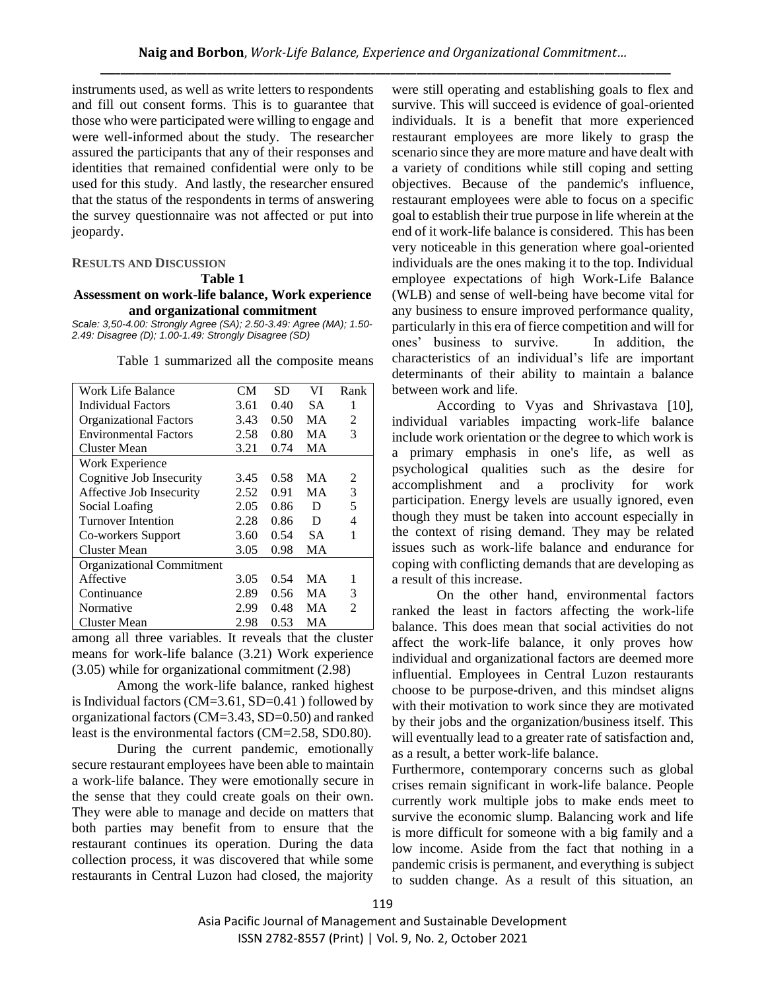instruments used, as well as write letters to respondents and fill out consent forms. This is to guarantee that those who were participated were willing to engage and were well-informed about the study. The researcher assured the participants that any of their responses and identities that remained confidential were only to be used for this study. And lastly, the researcher ensured that the status of the respondents in terms of answering the survey questionnaire was not affected or put into jeopardy.

#### **RESULTS AND DISCUSSION**

#### **Table 1**

#### **Assessment on work-life balance, Work experience and organizational commitment**

*Scale: 3,50-4.00: Strongly Agree (SA); 2.50-3.49: Agree (MA); 1.50- 2.49: Disagree (D); 1.00-1.49: Strongly Disagree (SD)*

|  | Table 1 summarized all the composite means |  |  |  |  |
|--|--------------------------------------------|--|--|--|--|
|--|--------------------------------------------|--|--|--|--|

| <b>Work Life Balance</b>         | CМ   | <b>SD</b> | VI | Rank           |
|----------------------------------|------|-----------|----|----------------|
| Individual Factors               | 3.61 | 0.40      | SА | 1              |
| <b>Organizational Factors</b>    | 3.43 | 0.50      | MA | 2              |
| <b>Environmental Factors</b>     | 2.58 | 0.80      | MA | 3              |
| <b>Cluster Mean</b>              | 3.21 | 0.74      | MA |                |
| Work Experience                  |      |           |    |                |
| Cognitive Job Insecurity         | 3.45 | 0.58      | MА | 2              |
| Affective Job Insecurity         | 2.52 | 0.91      | MA | 3              |
| Social Loafing                   | 2.05 | 0.86      | D  | 5              |
| Turnover Intention               | 2.28 | 0.86      | D  | 4              |
| Co-workers Support               | 3.60 | 0.54      | SА | 1              |
| <b>Cluster Mean</b>              | 3.05 | 0.98      | MA |                |
| <b>Organizational Commitment</b> |      |           |    |                |
| Affective                        | 3.05 | 0.54      | MA | 1              |
| Continuance                      | 2.89 | 0.56      | MA | 3              |
| Normative                        | 2.99 | 0.48      | MA | $\mathfrak{D}$ |
| Cluster Mean                     | 2.98 | 0.53      | MA |                |

among all three variables. It reveals that the cluster means for work-life balance (3.21) Work experience (3.05) while for organizational commitment (2.98)

Among the work-life balance, ranked highest is Individual factors (CM=3.61, SD=0.41 ) followed by organizational factors (CM=3.43, SD=0.50) and ranked least is the environmental factors (CM=2.58, SD0.80).

During the current pandemic, emotionally secure restaurant employees have been able to maintain a work-life balance. They were emotionally secure in the sense that they could create goals on their own. They were able to manage and decide on matters that both parties may benefit from to ensure that the restaurant continues its operation. During the data collection process, it was discovered that while some restaurants in Central Luzon had closed, the majority

were still operating and establishing goals to flex and survive. This will succeed is evidence of goal-oriented individuals. It is a benefit that more experienced restaurant employees are more likely to grasp the scenario since they are more mature and have dealt with a variety of conditions while still coping and setting objectives. Because of the pandemic's influence, restaurant employees were able to focus on a specific goal to establish their true purpose in life wherein at the end of it work-life balance is considered. This has been very noticeable in this generation where goal-oriented individuals are the ones making it to the top. Individual employee expectations of high Work-Life Balance (WLB) and sense of well-being have become vital for any business to ensure improved performance quality, particularly in this era of fierce competition and will for ones' business to survive. In addition, the characteristics of an individual's life are important determinants of their ability to maintain a balance between work and life.

According to Vyas and Shrivastava [10], individual variables impacting work-life balance include work orientation or the degree to which work is a primary emphasis in one's life, as well as psychological qualities such as the desire for accomplishment and a proclivity for work participation. Energy levels are usually ignored, even though they must be taken into account especially in the context of rising demand. They may be related issues such as work-life balance and endurance for coping with conflicting demands that are developing as a result of this increase.

On the other hand, environmental factors ranked the least in factors affecting the work-life balance. This does mean that social activities do not affect the work-life balance, it only proves how individual and organizational factors are deemed more influential. Employees in Central Luzon restaurants choose to be purpose-driven, and this mindset aligns with their motivation to work since they are motivated by their jobs and the organization/business itself. This will eventually lead to a greater rate of satisfaction and, as a result, a better work-life balance.

Furthermore, contemporary concerns such as global crises remain significant in work-life balance. People currently work multiple jobs to make ends meet to survive the economic slump. Balancing work and life is more difficult for someone with a big family and a low income. Aside from the fact that nothing in a pandemic crisis is permanent, and everything is subject to sudden change. As a result of this situation, an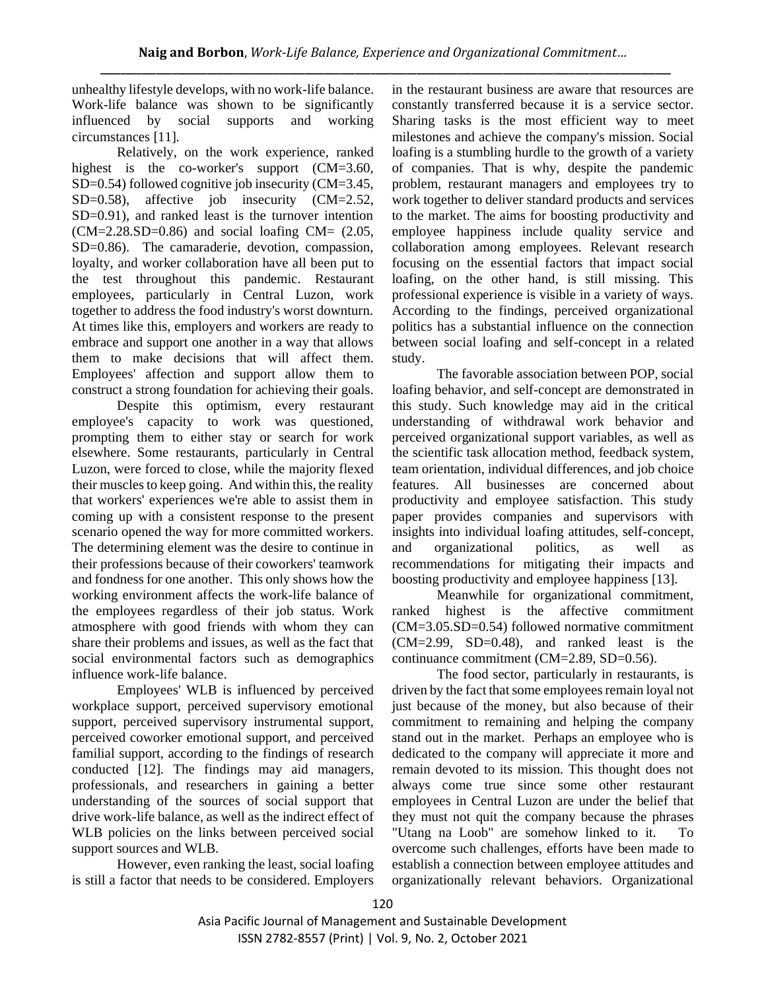unhealthy lifestyle develops, with no work-life balance. Work-life balance was shown to be significantly influenced by social supports and working circumstances [11].

Relatively, on the work experience, ranked highest is the co-worker's support (CM=3.60, SD=0.54) followed cognitive job insecurity (CM=3.45, SD=0.58), affective job insecurity (CM=2.52, SD=0.91), and ranked least is the turnover intention  $(CM=2.28 \text{.} SD=0.86)$  and social loafing  $CM=(2.05,$ SD=0.86). The camaraderie, devotion, compassion, loyalty, and worker collaboration have all been put to the test throughout this pandemic. Restaurant employees, particularly in Central Luzon, work together to address the food industry's worst downturn. At times like this, employers and workers are ready to embrace and support one another in a way that allows them to make decisions that will affect them. Employees' affection and support allow them to construct a strong foundation for achieving their goals.

Despite this optimism, every restaurant employee's capacity to work was questioned, prompting them to either stay or search for work elsewhere. Some restaurants, particularly in Central Luzon, were forced to close, while the majority flexed their muscles to keep going. And within this, the reality that workers' experiences we're able to assist them in coming up with a consistent response to the present scenario opened the way for more committed workers. The determining element was the desire to continue in their professions because of their coworkers' teamwork and fondness for one another. This only shows how the working environment affects the work-life balance of the employees regardless of their job status. Work atmosphere with good friends with whom they can share their problems and issues, as well as the fact that social environmental factors such as demographics influence work-life balance.

Employees' WLB is influenced by perceived workplace support, perceived supervisory emotional support, perceived supervisory instrumental support, perceived coworker emotional support, and perceived familial support, according to the findings of research conducted [12]. The findings may aid managers, professionals, and researchers in gaining a better understanding of the sources of social support that drive work-life balance, as well as the indirect effect of WLB policies on the links between perceived social support sources and WLB.

However, even ranking the least, social loafing is still a factor that needs to be considered. Employers in the restaurant business are aware that resources are constantly transferred because it is a service sector. Sharing tasks is the most efficient way to meet milestones and achieve the company's mission. Social loafing is a stumbling hurdle to the growth of a variety of companies. That is why, despite the pandemic problem, restaurant managers and employees try to work together to deliver standard products and services to the market. The aims for boosting productivity and employee happiness include quality service and collaboration among employees. Relevant research focusing on the essential factors that impact social loafing, on the other hand, is still missing. This professional experience is visible in a variety of ways. According to the findings, perceived organizational politics has a substantial influence on the connection between social loafing and self-concept in a related study.

The favorable association between POP, social loafing behavior, and self-concept are demonstrated in this study. Such knowledge may aid in the critical understanding of withdrawal work behavior and perceived organizational support variables, as well as the scientific task allocation method, feedback system, team orientation, individual differences, and job choice features. All businesses are concerned about productivity and employee satisfaction. This study paper provides companies and supervisors with insights into individual loafing attitudes, self-concept, and organizational politics, as well as recommendations for mitigating their impacts and boosting productivity and employee happiness [13].

Meanwhile for organizational commitment, ranked highest is the affective commitment (CM=3.05.SD=0.54) followed normative commitment (CM=2.99, SD=0.48), and ranked least is the continuance commitment (CM=2.89, SD=0.56).

The food sector, particularly in restaurants, is driven by the fact that some employees remain loyal not just because of the money, but also because of their commitment to remaining and helping the company stand out in the market. Perhaps an employee who is dedicated to the company will appreciate it more and remain devoted to its mission. This thought does not always come true since some other restaurant employees in Central Luzon are under the belief that they must not quit the company because the phrases "Utang na Loob" are somehow linked to it. To overcome such challenges, efforts have been made to establish a connection between employee attitudes and organizationally relevant behaviors. Organizational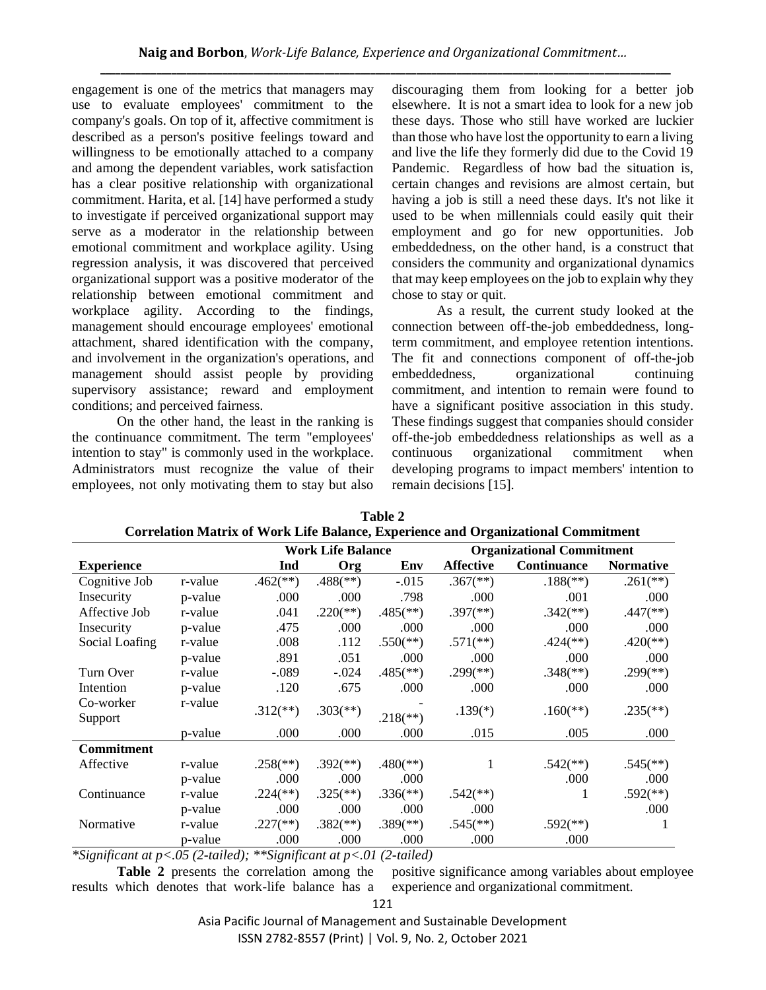engagement is one of the metrics that managers may use to evaluate employees' commitment to the company's goals. On top of it, affective commitment is described as a person's positive feelings toward and willingness to be emotionally attached to a company and among the dependent variables, work satisfaction has a clear positive relationship with organizational commitment. Harita, et al. [14] have performed a study to investigate if perceived organizational support may serve as a moderator in the relationship between emotional commitment and workplace agility. Using regression analysis, it was discovered that perceived organizational support was a positive moderator of the relationship between emotional commitment and workplace agility. According to the findings, management should encourage employees' emotional attachment, shared identification with the company, and involvement in the organization's operations, and management should assist people by providing supervisory assistance; reward and employment conditions; and perceived fairness.

On the other hand, the least in the ranking is the continuance commitment. The term "employees' intention to stay" is commonly used in the workplace. Administrators must recognize the value of their employees, not only motivating them to stay but also discouraging them from looking for a better job elsewhere. It is not a smart idea to look for a new job these days. Those who still have worked are luckier than those who have lost the opportunity to earn a living and live the life they formerly did due to the Covid 19 Pandemic. Regardless of how bad the situation is, certain changes and revisions are almost certain, but having a job is still a need these days. It's not like it used to be when millennials could easily quit their employment and go for new opportunities. Job embeddedness, on the other hand, is a construct that considers the community and organizational dynamics that may keep employees on the job to explain why they chose to stay or quit.

As a result, the current study looked at the connection between off-the-job embeddedness, longterm commitment, and employee retention intentions. The fit and connections component of off-the-job embeddedness, organizational continuing commitment, and intention to remain were found to have a significant positive association in this study. These findings suggest that companies should consider off-the-job embeddedness relationships as well as a continuous organizational commitment when developing programs to impact members' intention to remain decisions [15].

|                   |         | <b>Work Life Balance</b> |                          |                          | <b>Organizational Commitment</b> |                          |                          |
|-------------------|---------|--------------------------|--------------------------|--------------------------|----------------------------------|--------------------------|--------------------------|
| <b>Experience</b> |         | Ind                      | Org                      | Env                      | <b>Affective</b>                 | Continuance              | <b>Normative</b>         |
| Cognitive Job     | r-value | $.462$ <sup>**</sup> )   | $.488$ <sup>(**)</sup> ) | $-0.015$                 | $.367$ <sup>(**)</sup> )         | $.188$ <sup>(**)</sup> ) | $.261$ <sup>(**)</sup> ) |
| Insecurity        | p-value | .000                     | .000                     | .798                     | .000                             | .001                     | .000                     |
| Affective Job     | r-value | .041                     | $.220$ <sup>(**)</sup> ) | $.485$ <sup>(**)</sup> ) | $.397$ <sup>(**)</sup> )         | $.342$ <sup>(**)</sup> ) | $.447$ <sup>(**)</sup> ) |
| Insecurity        | p-value | .475                     | .000                     | .000                     | .000                             | .000                     | .000                     |
| Social Loafing    | r-value | .008                     | .112                     | $.550$ <sup>(**)</sup> ) | $.571$ (**)                      | $.424$ <sup>(**)</sup> ) | $.420$ <sup>(**)</sup> ) |
|                   | p-value | .891                     | .051                     | .000                     | .000                             | .000                     | .000                     |
| Turn Over         | r-value | $-.089$                  | $-.024$                  | $.485$ <sup>(**)</sup> ) | $.299$ <sup>(**)</sup> )         | $.348$ <sup>(**)</sup> ) | $.299$ <sup>(**)</sup> ) |
| Intention         | p-value | .120                     | .675                     | .000                     | .000                             | .000                     | .000                     |
| Co-worker         | r-value | $.312$ <sup>**</sup> )   | $.303$ <sup>(**)</sup> ) |                          | $.139(*)$                        | $.160$ (**)              | $.235$ <sup>(**)</sup> ) |
| Support           |         |                          |                          | $.218$ <sup>(**)</sup> ) |                                  |                          |                          |
|                   | p-value | .000                     | .000                     | .000                     | .015                             | .005                     | .000                     |
| <b>Commitment</b> |         |                          |                          |                          |                                  |                          |                          |
| Affective         | r-value | $.258$ <sup>(**)</sup> ) | $.392$ <sup>(**)</sup> ) | $.480$ <sup>(**)</sup> ) |                                  | $.542$ <sup>(**)</sup> ) | $.545$ <sup>(**)</sup> ) |
|                   | p-value | .000                     | .000                     | .000                     |                                  | .000                     | .000                     |
| Continuance       | r-value | $.224$ <sup>(**)</sup> ) | $.325$ <sup>(**)</sup> ) | $.336$ <sup>(**)</sup> ) | $.542$ <sup>(**)</sup> )         |                          | $.592$ <sup>(**)</sup> ) |
|                   | p-value | .000                     | .000                     | .000                     | .000                             |                          | .000                     |
| Normative         | r-value | $.227$ <sup>(**)</sup> ) | $.382$ <sup>(**)</sup> ) | $.389$ <sup>(**)</sup> ) | $.545$ <sup>(**)</sup> )         | $.592$ <sup>(**)</sup> ) | 1                        |
|                   | p-value | .000                     | .000                     | .000                     | .000                             | .000                     |                          |

| Table 2                                                                                  |
|------------------------------------------------------------------------------------------|
| <b>Correlation Matrix of Work Life Balance, Experience and Organizational Commitment</b> |

*\*Significant at p<.05 (2-tailed); \*\*Significant at p<.01 (2-tailed)*

**Table 2** presents the correlation among the results which denotes that work-life balance has a positive significance among variables about employee experience and organizational commitment.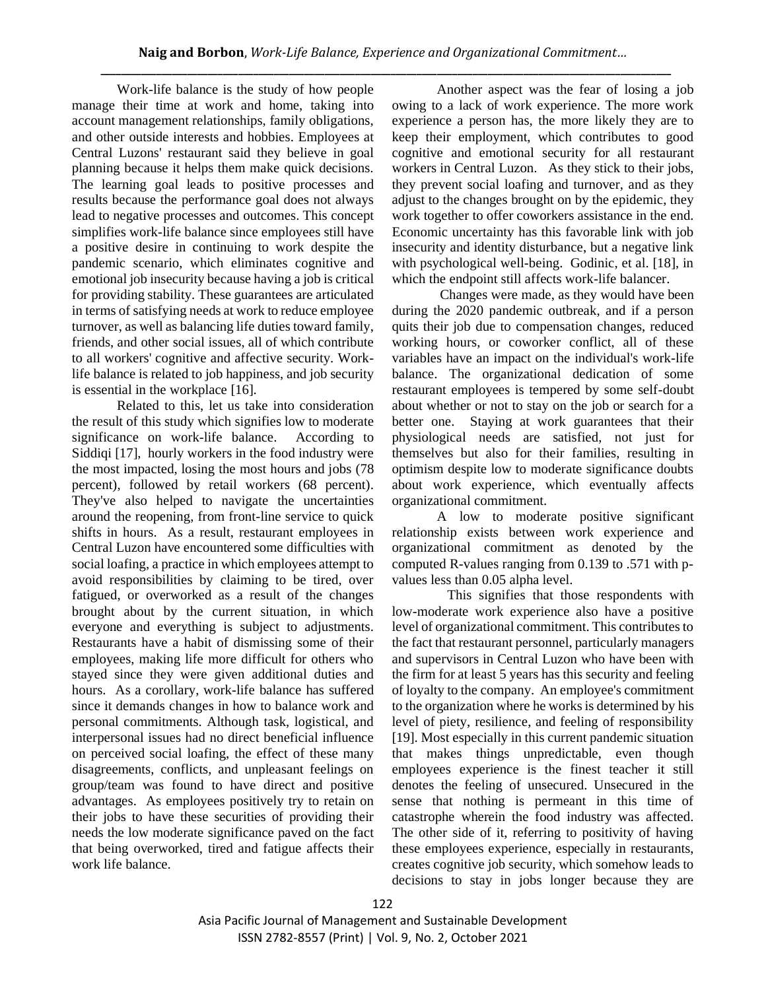Work-life balance is the study of how people manage their time at work and home, taking into account management relationships, family obligations, and other outside interests and hobbies. Employees at Central Luzons' restaurant said they believe in goal planning because it helps them make quick decisions. The learning goal leads to positive processes and results because the performance goal does not always lead to negative processes and outcomes. This concept simplifies work-life balance since employees still have a positive desire in continuing to work despite the pandemic scenario, which eliminates cognitive and emotional job insecurity because having a job is critical for providing stability. These guarantees are articulated in terms of satisfying needs at work to reduce employee turnover, as well as balancing life duties toward family, friends, and other social issues, all of which contribute to all workers' cognitive and affective security. Worklife balance is related to job happiness, and job security is essential in the workplace [16].

Related to this, let us take into consideration the result of this study which signifies low to moderate significance on work-life balance. According to Siddiqi [17], hourly workers in the food industry were the most impacted, losing the most hours and jobs (78 percent), followed by retail workers (68 percent). They've also helped to navigate the uncertainties around the reopening, from front-line service to quick shifts in hours. As a result, restaurant employees in Central Luzon have encountered some difficulties with social loafing, a practice in which employees attempt to avoid responsibilities by claiming to be tired, over fatigued, or overworked as a result of the changes brought about by the current situation, in which everyone and everything is subject to adjustments. Restaurants have a habit of dismissing some of their employees, making life more difficult for others who stayed since they were given additional duties and hours. As a corollary, work-life balance has suffered since it demands changes in how to balance work and personal commitments. Although task, logistical, and interpersonal issues had no direct beneficial influence on perceived social loafing, the effect of these many disagreements, conflicts, and unpleasant feelings on group/team was found to have direct and positive advantages. As employees positively try to retain on their jobs to have these securities of providing their needs the low moderate significance paved on the fact that being overworked, tired and fatigue affects their work life balance.

Another aspect was the fear of losing a job owing to a lack of work experience. The more work experience a person has, the more likely they are to keep their employment, which contributes to good cognitive and emotional security for all restaurant workers in Central Luzon. As they stick to their jobs, they prevent social loafing and turnover, and as they adjust to the changes brought on by the epidemic, they work together to offer coworkers assistance in the end. Economic uncertainty has this favorable link with job insecurity and identity disturbance, but a negative link with psychological well-being. Godinic, et al. [18], in which the endpoint still affects work-life balancer.

 Changes were made, as they would have been during the 2020 pandemic outbreak, and if a person quits their job due to compensation changes, reduced working hours, or coworker conflict, all of these variables have an impact on the individual's work-life balance. The organizational dedication of some restaurant employees is tempered by some self-doubt about whether or not to stay on the job or search for a better one. Staying at work guarantees that their physiological needs are satisfied, not just for themselves but also for their families, resulting in optimism despite low to moderate significance doubts about work experience, which eventually affects organizational commitment.

A low to moderate positive significant relationship exists between work experience and organizational commitment as denoted by the computed R-values ranging from 0.139 to .571 with pvalues less than 0.05 alpha level.

 This signifies that those respondents with low-moderate work experience also have a positive level of organizational commitment. This contributes to the fact that restaurant personnel, particularly managers and supervisors in Central Luzon who have been with the firm for at least 5 years has this security and feeling of loyalty to the company. An employee's commitment to the organization where he works is determined by his level of piety, resilience, and feeling of responsibility [19]. Most especially in this current pandemic situation that makes things unpredictable, even though employees experience is the finest teacher it still denotes the feeling of unsecured. Unsecured in the sense that nothing is permeant in this time of catastrophe wherein the food industry was affected. The other side of it, referring to positivity of having these employees experience, especially in restaurants, creates cognitive job security, which somehow leads to decisions to stay in jobs longer because they are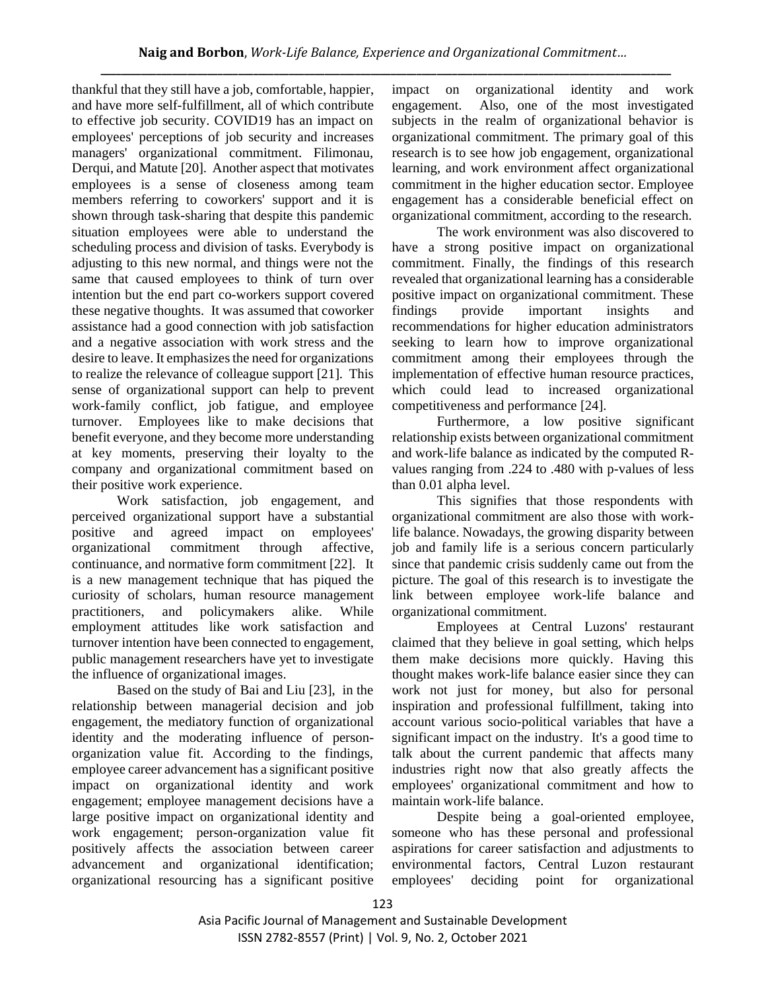thankful that they still have a job, comfortable, happier, and have more self-fulfillment, all of which contribute to effective job security. COVID19 has an impact on employees' perceptions of job security and increases managers' organizational commitment. Filimonau, Derqui, and Matute [20]. Another aspect that motivates employees is a sense of closeness among team members referring to coworkers' support and it is shown through task-sharing that despite this pandemic situation employees were able to understand the scheduling process and division of tasks. Everybody is adjusting to this new normal, and things were not the same that caused employees to think of turn over intention but the end part co-workers support covered these negative thoughts. It was assumed that coworker assistance had a good connection with job satisfaction and a negative association with work stress and the desire to leave. It emphasizes the need for organizations to realize the relevance of colleague support [21]. This sense of organizational support can help to prevent work-family conflict, job fatigue, and employee turnover. Employees like to make decisions that benefit everyone, and they become more understanding at key moments, preserving their loyalty to the company and organizational commitment based on their positive work experience.

Work satisfaction, job engagement, and perceived organizational support have a substantial positive and agreed impact on employees' organizational commitment through affective, continuance, and normative form commitment [22]. It is a new management technique that has piqued the curiosity of scholars, human resource management practitioners, and policymakers alike. While employment attitudes like work satisfaction and turnover intention have been connected to engagement, public management researchers have yet to investigate the influence of organizational images.

Based on the study of Bai and Liu [23], in the relationship between managerial decision and job engagement, the mediatory function of organizational identity and the moderating influence of personorganization value fit. According to the findings, employee career advancement has a significant positive impact on organizational identity and work engagement; employee management decisions have a large positive impact on organizational identity and work engagement; person-organization value fit positively affects the association between career advancement and organizational identification; organizational resourcing has a significant positive

impact on organizational identity and work engagement. Also, one of the most investigated subjects in the realm of organizational behavior is organizational commitment. The primary goal of this research is to see how job engagement, organizational learning, and work environment affect organizational commitment in the higher education sector. Employee engagement has a considerable beneficial effect on organizational commitment, according to the research.

The work environment was also discovered to have a strong positive impact on organizational commitment. Finally, the findings of this research revealed that organizational learning has a considerable positive impact on organizational commitment. These findings provide important insights and recommendations for higher education administrators seeking to learn how to improve organizational commitment among their employees through the implementation of effective human resource practices, which could lead to increased organizational competitiveness and performance [24].

Furthermore, a low positive significant relationship exists between organizational commitment and work-life balance as indicated by the computed Rvalues ranging from .224 to .480 with p-values of less than 0.01 alpha level.

This signifies that those respondents with organizational commitment are also those with worklife balance. Nowadays, the growing disparity between job and family life is a serious concern particularly since that pandemic crisis suddenly came out from the picture. The goal of this research is to investigate the link between employee work-life balance and organizational commitment.

Employees at Central Luzons' restaurant claimed that they believe in goal setting, which helps them make decisions more quickly. Having this thought makes work-life balance easier since they can work not just for money, but also for personal inspiration and professional fulfillment, taking into account various socio-political variables that have a significant impact on the industry. It's a good time to talk about the current pandemic that affects many industries right now that also greatly affects the employees' organizational commitment and how to maintain work-life balance.

Despite being a goal-oriented employee, someone who has these personal and professional aspirations for career satisfaction and adjustments to environmental factors, Central Luzon restaurant employees' deciding point for organizational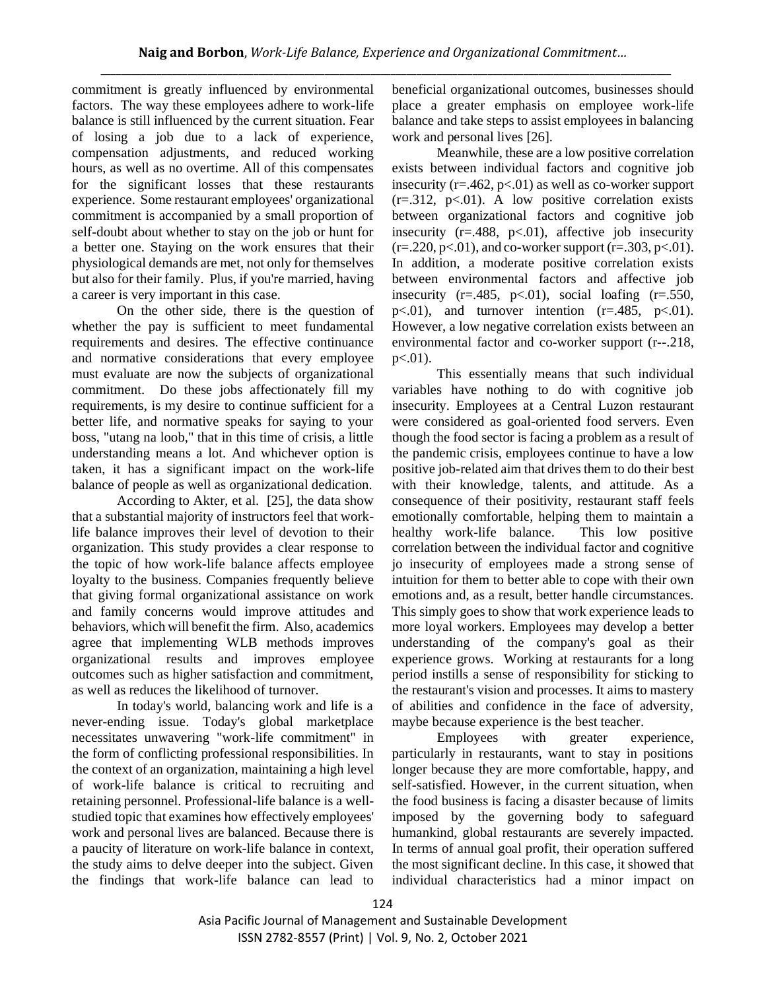commitment is greatly influenced by environmental factors. The way these employees adhere to work-life balance is still influenced by the current situation. Fear of losing a job due to a lack of experience, compensation adjustments, and reduced working hours, as well as no overtime. All of this compensates for the significant losses that these restaurants experience. Some restaurant employees' organizational commitment is accompanied by a small proportion of self-doubt about whether to stay on the job or hunt for a better one. Staying on the work ensures that their physiological demands are met, not only for themselves but also for their family. Plus, if you're married, having a career is very important in this case.

On the other side, there is the question of whether the pay is sufficient to meet fundamental requirements and desires. The effective continuance and normative considerations that every employee must evaluate are now the subjects of organizational commitment. Do these jobs affectionately fill my requirements, is my desire to continue sufficient for a better life, and normative speaks for saying to your boss, "utang na loob," that in this time of crisis, a little understanding means a lot. And whichever option is taken, it has a significant impact on the work-life balance of people as well as organizational dedication.

According to Akter, et al. [25], the data show that a substantial majority of instructors feel that worklife balance improves their level of devotion to their organization. This study provides a clear response to the topic of how work-life balance affects employee loyalty to the business. Companies frequently believe that giving formal organizational assistance on work and family concerns would improve attitudes and behaviors, which will benefit the firm. Also, academics agree that implementing WLB methods improves organizational results and improves employee outcomes such as higher satisfaction and commitment, as well as reduces the likelihood of turnover.

In today's world, balancing work and life is a never-ending issue. Today's global marketplace necessitates unwavering "work-life commitment" in the form of conflicting professional responsibilities. In the context of an organization, maintaining a high level of work-life balance is critical to recruiting and retaining personnel. Professional-life balance is a wellstudied topic that examines how effectively employees' work and personal lives are balanced. Because there is a paucity of literature on work-life balance in context, the study aims to delve deeper into the subject. Given the findings that work-life balance can lead to beneficial organizational outcomes, businesses should place a greater emphasis on employee work-life balance and take steps to assist employees in balancing work and personal lives [26].

Meanwhile, these are a low positive correlation exists between individual factors and cognitive job insecurity  $(r=.462, p<.01)$  as well as co-worker support  $(r=.312, p<.01)$ . A low positive correlation exists between organizational factors and cognitive job insecurity  $(r=.488, p<.01)$ , affective job insecurity  $(r=.220, p<.01)$ , and co-worker support  $(r=.303, p<.01)$ . In addition, a moderate positive correlation exists between environmental factors and affective job insecurity  $(r=.485, p<.01)$ , social loafing  $(r=.550,$ p $<0.01$ ), and turnover intention (r=.485, p $<0.01$ ). However, a low negative correlation exists between an environmental factor and co-worker support (r--.218,  $p<.01$ ).

This essentially means that such individual variables have nothing to do with cognitive job insecurity. Employees at a Central Luzon restaurant were considered as goal-oriented food servers. Even though the food sector is facing a problem as a result of the pandemic crisis, employees continue to have a low positive job-related aim that drives them to do their best with their knowledge, talents, and attitude. As a consequence of their positivity, restaurant staff feels emotionally comfortable, helping them to maintain a healthy work-life balance. This low positive correlation between the individual factor and cognitive jo insecurity of employees made a strong sense of intuition for them to better able to cope with their own emotions and, as a result, better handle circumstances. This simply goes to show that work experience leads to more loyal workers. Employees may develop a better understanding of the company's goal as their experience grows. Working at restaurants for a long period instills a sense of responsibility for sticking to the restaurant's vision and processes. It aims to mastery of abilities and confidence in the face of adversity, maybe because experience is the best teacher.

Employees with greater experience, particularly in restaurants, want to stay in positions longer because they are more comfortable, happy, and self-satisfied. However, in the current situation, when the food business is facing a disaster because of limits imposed by the governing body to safeguard humankind, global restaurants are severely impacted. In terms of annual goal profit, their operation suffered the most significant decline. In this case, it showed that individual characteristics had a minor impact on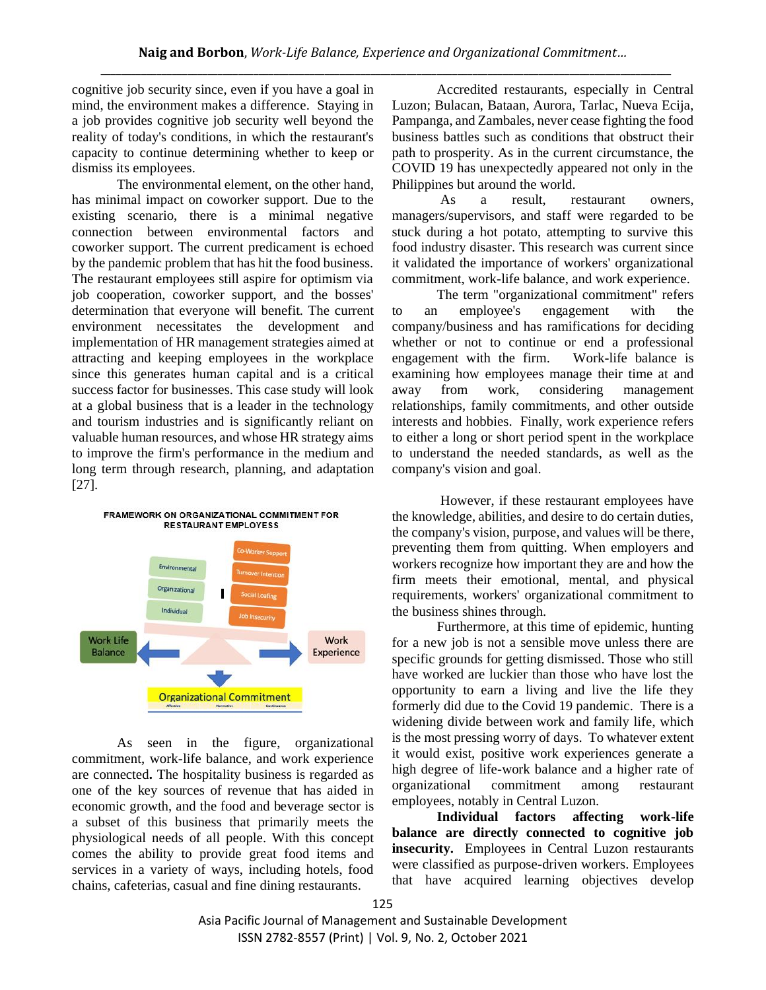cognitive job security since, even if you have a goal in mind, the environment makes a difference. Staying in a job provides cognitive job security well beyond the reality of today's conditions, in which the restaurant's capacity to continue determining whether to keep or dismiss its employees.

The environmental element, on the other hand, has minimal impact on coworker support. Due to the existing scenario, there is a minimal negative connection between environmental factors and coworker support. The current predicament is echoed by the pandemic problem that has hit the food business. The restaurant employees still aspire for optimism via job cooperation, coworker support, and the bosses' determination that everyone will benefit. The current environment necessitates the development and implementation of HR management strategies aimed at attracting and keeping employees in the workplace since this generates human capital and is a critical success factor for businesses. This case study will look at a global business that is a leader in the technology and tourism industries and is significantly reliant on valuable human resources, and whose HR strategy aims to improve the firm's performance in the medium and long term through research, planning, and adaptation [27].



As seen in the figure, organizational commitment, work-life balance, and work experience are connected**.** The hospitality business is regarded as one of the key sources of revenue that has aided in economic growth, and the food and beverage sector is a subset of this business that primarily meets the physiological needs of all people. With this concept comes the ability to provide great food items and services in a variety of ways, including hotels, food chains, cafeterias, casual and fine dining restaurants.

Accredited restaurants, especially in Central Luzon; Bulacan, Bataan, Aurora, Tarlac, Nueva Ecija, Pampanga, and Zambales, never cease fighting the food business battles such as conditions that obstruct their path to prosperity. As in the current circumstance, the COVID 19 has unexpectedly appeared not only in the Philippines but around the world.

As a result, restaurant owners, managers/supervisors, and staff were regarded to be stuck during a hot potato, attempting to survive this food industry disaster. This research was current since it validated the importance of workers' organizational commitment, work-life balance, and work experience.

The term "organizational commitment" refers to an employee's engagement with the company/business and has ramifications for deciding whether or not to continue or end a professional engagement with the firm. Work-life balance is examining how employees manage their time at and away from work, considering management relationships, family commitments, and other outside interests and hobbies. Finally, work experience refers to either a long or short period spent in the workplace to understand the needed standards, as well as the company's vision and goal.

However, if these restaurant employees have the knowledge, abilities, and desire to do certain duties, the company's vision, purpose, and values will be there, preventing them from quitting. When employers and workers recognize how important they are and how the firm meets their emotional, mental, and physical requirements, workers' organizational commitment to the business shines through.

Furthermore, at this time of epidemic, hunting for a new job is not a sensible move unless there are specific grounds for getting dismissed. Those who still have worked are luckier than those who have lost the opportunity to earn a living and live the life they formerly did due to the Covid 19 pandemic. There is a widening divide between work and family life, which is the most pressing worry of days. To whatever extent it would exist, positive work experiences generate a high degree of life-work balance and a higher rate of organizational commitment among restaurant employees, notably in Central Luzon.

**Individual factors affecting work-life balance are directly connected to cognitive job insecurity.** Employees in Central Luzon restaurants were classified as purpose-driven workers. Employees that have acquired learning objectives develop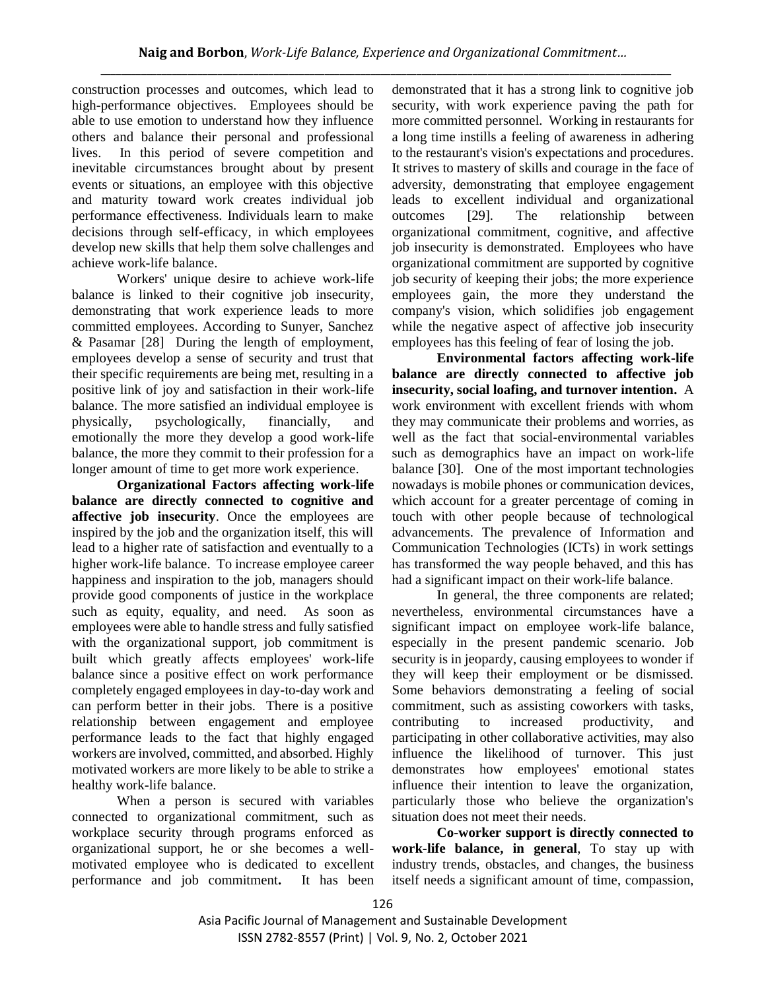construction processes and outcomes, which lead to high-performance objectives. Employees should be able to use emotion to understand how they influence others and balance their personal and professional lives. In this period of severe competition and inevitable circumstances brought about by present events or situations, an employee with this objective and maturity toward work creates individual job performance effectiveness. Individuals learn to make decisions through self-efficacy, in which employees develop new skills that help them solve challenges and achieve work-life balance.

Workers' unique desire to achieve work-life balance is linked to their cognitive job insecurity, demonstrating that work experience leads to more committed employees. According to Sunyer, Sanchez & Pasamar [28] During the length of employment, employees develop a sense of security and trust that their specific requirements are being met, resulting in a positive link of joy and satisfaction in their work-life balance. The more satisfied an individual employee is physically, psychologically, financially, and emotionally the more they develop a good work-life balance, the more they commit to their profession for a longer amount of time to get more work experience.

**Organizational Factors affecting work-life balance are directly connected to cognitive and affective job insecurity**. Once the employees are inspired by the job and the organization itself, this will lead to a higher rate of satisfaction and eventually to a higher work-life balance. To increase employee career happiness and inspiration to the job, managers should provide good components of justice in the workplace such as equity, equality, and need. As soon as employees were able to handle stress and fully satisfied with the organizational support, job commitment is built which greatly affects employees' work-life balance since a positive effect on work performance completely engaged employees in day-to-day work and can perform better in their jobs. There is a positive relationship between engagement and employee performance leads to the fact that highly engaged workers are involved, committed, and absorbed. Highly motivated workers are more likely to be able to strike a healthy work-life balance.

When a person is secured with variables connected to organizational commitment, such as workplace security through programs enforced as organizational support, he or she becomes a wellmotivated employee who is dedicated to excellent performance and job commitment**.** It has been demonstrated that it has a strong link to cognitive job security, with work experience paving the path for more committed personnel. Working in restaurants for a long time instills a feeling of awareness in adhering to the restaurant's vision's expectations and procedures. It strives to mastery of skills and courage in the face of adversity, demonstrating that employee engagement leads to excellent individual and organizational outcomes [29]. The relationship between organizational commitment, cognitive, and affective job insecurity is demonstrated. Employees who have organizational commitment are supported by cognitive job security of keeping their jobs; the more experience employees gain, the more they understand the company's vision, which solidifies job engagement while the negative aspect of affective job insecurity employees has this feeling of fear of losing the job.

**Environmental factors affecting work-life balance are directly connected to affective job insecurity, social loafing, and turnover intention.** A work environment with excellent friends with whom they may communicate their problems and worries, as well as the fact that social-environmental variables such as demographics have an impact on work-life balance [30]. One of the most important technologies nowadays is mobile phones or communication devices, which account for a greater percentage of coming in touch with other people because of technological advancements. The prevalence of Information and Communication Technologies (ICTs) in work settings has transformed the way people behaved, and this has had a significant impact on their work-life balance.

In general, the three components are related; nevertheless, environmental circumstances have a significant impact on employee work-life balance, especially in the present pandemic scenario. Job security is in jeopardy, causing employees to wonder if they will keep their employment or be dismissed. Some behaviors demonstrating a feeling of social commitment, such as assisting coworkers with tasks, contributing to increased productivity, and participating in other collaborative activities, may also influence the likelihood of turnover. This just demonstrates how employees' emotional states influence their intention to leave the organization, particularly those who believe the organization's situation does not meet their needs.

**Co-worker support is directly connected to work-life balance, in general**, To stay up with industry trends, obstacles, and changes, the business itself needs a significant amount of time, compassion,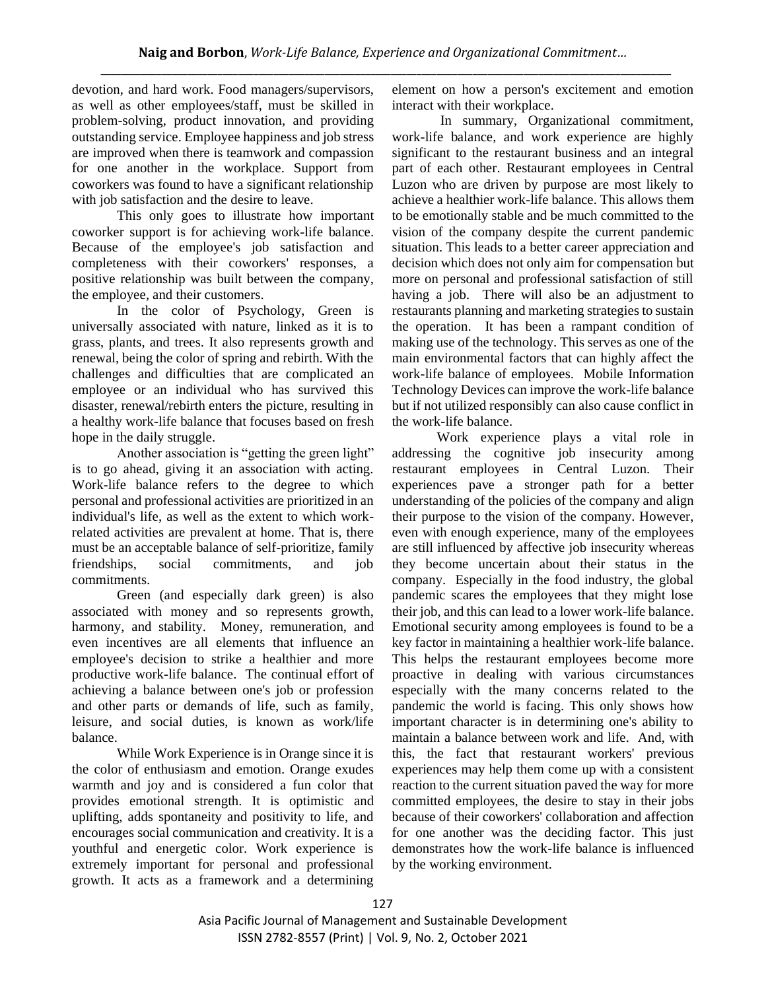devotion, and hard work. Food managers/supervisors, as well as other employees/staff, must be skilled in problem-solving, product innovation, and providing outstanding service. Employee happiness and job stress are improved when there is teamwork and compassion for one another in the workplace. Support from coworkers was found to have a significant relationship with job satisfaction and the desire to leave.

This only goes to illustrate how important coworker support is for achieving work-life balance. Because of the employee's job satisfaction and completeness with their coworkers' responses, a positive relationship was built between the company, the employee, and their customers.

In the color of Psychology, Green is universally associated with nature, linked as it is to grass, plants, and trees. It also represents growth and renewal, being the color of spring and rebirth. With the challenges and difficulties that are complicated an employee or an individual who has survived this disaster, renewal/rebirth enters the picture, resulting in a healthy work-life balance that focuses based on fresh hope in the daily struggle.

Another association is "getting the green light" is to go ahead, giving it an association with acting. Work-life balance refers to the degree to which personal and professional activities are prioritized in an individual's life, as well as the extent to which workrelated activities are prevalent at home. That is, there must be an acceptable balance of self-prioritize, family friendships, social commitments, and job commitments.

Green (and especially dark green) is also associated with money and so represents growth, harmony, and stability. Money, remuneration, and even incentives are all elements that influence an employee's decision to strike a healthier and more productive work-life balance. The continual effort of achieving a balance between one's job or profession and other parts or demands of life, such as family, leisure, and social duties, is known as work/life balance.

While Work Experience is in Orange since it is the color of enthusiasm and emotion. Orange exudes warmth and joy and is considered a fun color that provides emotional strength. It is optimistic and uplifting, adds spontaneity and positivity to life, and encourages social communication and creativity. It is a youthful and energetic color. Work experience is extremely important for personal and professional growth. It acts as a framework and a determining element on how a person's excitement and emotion interact with their workplace.

In summary, Organizational commitment, work-life balance, and work experience are highly significant to the restaurant business and an integral part of each other. Restaurant employees in Central Luzon who are driven by purpose are most likely to achieve a healthier work-life balance. This allows them to be emotionally stable and be much committed to the vision of the company despite the current pandemic situation. This leads to a better career appreciation and decision which does not only aim for compensation but more on personal and professional satisfaction of still having a job. There will also be an adjustment to restaurants planning and marketing strategies to sustain the operation. It has been a rampant condition of making use of the technology. This serves as one of the main environmental factors that can highly affect the work-life balance of employees. Mobile Information Technology Devices can improve the work-life balance but if not utilized responsibly can also cause conflict in the work-life balance.

Work experience plays a vital role in addressing the cognitive job insecurity among restaurant employees in Central Luzon. Their experiences pave a stronger path for a better understanding of the policies of the company and align their purpose to the vision of the company. However, even with enough experience, many of the employees are still influenced by affective job insecurity whereas they become uncertain about their status in the company. Especially in the food industry, the global pandemic scares the employees that they might lose their job, and this can lead to a lower work-life balance. Emotional security among employees is found to be a key factor in maintaining a healthier work-life balance. This helps the restaurant employees become more proactive in dealing with various circumstances especially with the many concerns related to the pandemic the world is facing. This only shows how important character is in determining one's ability to maintain a balance between work and life. And, with this, the fact that restaurant workers' previous experiences may help them come up with a consistent reaction to the current situation paved the way for more committed employees, the desire to stay in their jobs because of their coworkers' collaboration and affection for one another was the deciding factor. This just demonstrates how the work-life balance is influenced by the working environment.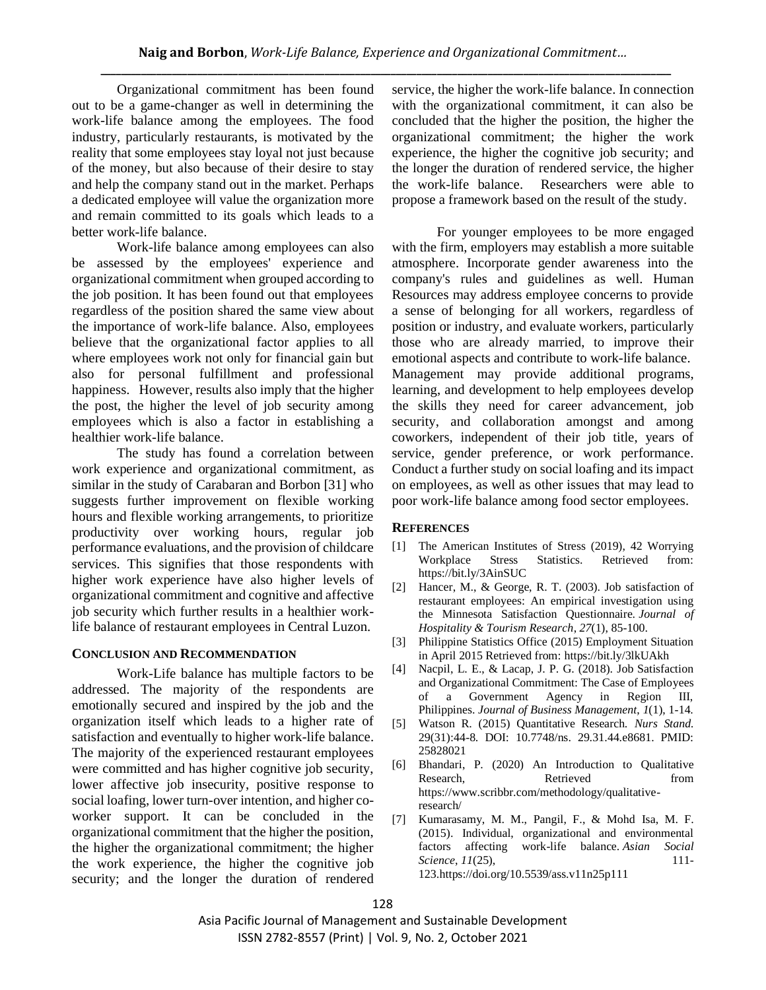Organizational commitment has been found out to be a game-changer as well in determining the work-life balance among the employees. The food industry, particularly restaurants, is motivated by the reality that some employees stay loyal not just because of the money, but also because of their desire to stay and help the company stand out in the market. Perhaps a dedicated employee will value the organization more and remain committed to its goals which leads to a better work-life balance.

Work-life balance among employees can also be assessed by the employees' experience and organizational commitment when grouped according to the job position. It has been found out that employees regardless of the position shared the same view about the importance of work-life balance. Also, employees believe that the organizational factor applies to all where employees work not only for financial gain but also for personal fulfillment and professional happiness. However, results also imply that the higher the post, the higher the level of job security among employees which is also a factor in establishing a healthier work-life balance.

The study has found a correlation between work experience and organizational commitment, as similar in the study of Carabaran and Borbon [31] who suggests further improvement on flexible working hours and flexible working arrangements, to prioritize productivity over working hours, regular job performance evaluations, and the provision of childcare services. This signifies that those respondents with higher work experience have also higher levels of organizational commitment and cognitive and affective job security which further results in a healthier worklife balance of restaurant employees in Central Luzon.

## **CONCLUSION AND RECOMMENDATION**

Work-Life balance has multiple factors to be addressed. The majority of the respondents are emotionally secured and inspired by the job and the organization itself which leads to a higher rate of satisfaction and eventually to higher work-life balance. The majority of the experienced restaurant employees were committed and has higher cognitive job security, lower affective job insecurity, positive response to social loafing, lower turn-over intention, and higher coworker support. It can be concluded in the organizational commitment that the higher the position, the higher the organizational commitment; the higher the work experience, the higher the cognitive job security; and the longer the duration of rendered

service, the higher the work-life balance. In connection with the organizational commitment, it can also be concluded that the higher the position, the higher the organizational commitment; the higher the work experience, the higher the cognitive job security; and the longer the duration of rendered service, the higher the work-life balance. Researchers were able to propose a framework based on the result of the study.

For younger employees to be more engaged with the firm, employers may establish a more suitable atmosphere. Incorporate gender awareness into the company's rules and guidelines as well. Human Resources may address employee concerns to provide a sense of belonging for all workers, regardless of position or industry, and evaluate workers, particularly those who are already married, to improve their emotional aspects and contribute to work-life balance. Management may provide additional programs, learning, and development to help employees develop the skills they need for career advancement, job security, and collaboration amongst and among coworkers, independent of their job title, years of service, gender preference, or work performance. Conduct a further study on social loafing and its impact on employees, as well as other issues that may lead to poor work-life balance among food sector employees.

## **REFERENCES**

- [1] The American Institutes of Stress (2019), 42 Worrying Workplace Stress Statistics. Retrieved from: <https://bit.ly/3AinSUC>
- [2] Hancer, M., & George, R. T. (2003). Job satisfaction of restaurant employees: An empirical investigation using the Minnesota Satisfaction Questionnaire. *Journal of Hospitality & Tourism Research*, *27*(1), 85-100.
- [3] Philippine Statistics Office (2015) Employment Situation in April 2015 Retrieved from:<https://bit.ly/3lkUAkh>
- [4] Nacpil, L. E., & Lacap, J. P. G. (2018). Job Satisfaction and Organizational Commitment: The Case of Employees of a Government Agency in Region III, Philippines. *Journal of Business Management*, *1*(1), 1-14.
- [5] Watson R. (2015) Quantitative Research. *Nurs Stand.* 29(31):44-8. DOI: 10.7748/ns. 29.31.44.e8681. PMID: 25828021
- [6] Bhandari, P. (2020) An Introduction to Qualitative Research, Retrieved from [https://www.scribbr.com/methodology/qualitative](https://www.scribbr.com/methodology/qualitative-research/)[research/](https://www.scribbr.com/methodology/qualitative-research/)
- [7] Kumarasamy, M. M., Pangil, F., & Mohd Isa, M. F. (2015). Individual, organizational and environmental factors affecting work-life balance. *Asian Social Science*, *11*(25), 111-123[.https://doi.org/10.5539/ass.v11n25p111](https://doi.org/10.5539/ass.v11n25p111)